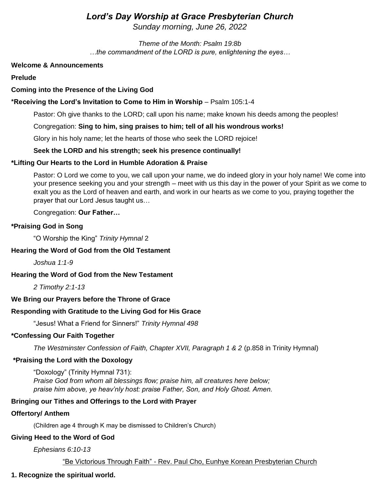# *Lord's Day Worship at Grace Presbyterian Church*

*Sunday morning, June 26, 2022* 

*Theme of the Month: Psalm 19:8b …the commandment of the LORD is pure, enlightening the eyes…*

#### **Welcome & Announcements**

**Prelude** 

### **Coming into the Presence of the Living God**

### **\*Receiving the Lord's Invitation to Come to Him in Worship** – Psalm 105:1-4

Pastor: Oh give thanks to the LORD; call upon his name; make known his deeds among the peoples!

#### Congregation: **Sing to him, sing praises to him; tell of all his wondrous works!**

Glory in his holy name; let the hearts of those who seek the LORD rejoice!

#### **Seek the LORD and his strength; seek his presence continually!**

### **\*Lifting Our Hearts to the Lord in Humble Adoration & Praise**

Pastor: O Lord we come to you, we call upon your name, we do indeed glory in your holy name! We come into your presence seeking you and your strength – meet with us this day in the power of your Spirit as we come to exalt you as the Lord of heaven and earth, and work in our hearts as we come to you, praying together the prayer that our Lord Jesus taught us…

Congregation: **Our Father…** 

#### **\*Praising God in Song**

"O Worship the King" *Trinity Hymnal* 2

#### **Hearing the Word of God from the Old Testament**

*Joshua 1:1-9*

### **Hearing the Word of God from the New Testament**

*2 Timothy 2:1-13* 

#### **We Bring our Prayers before the Throne of Grace**

### **Responding with Gratitude to the Living God for His Grace**

"Jesus! What a Friend for Sinners!" *Trinity Hymnal 498*

#### **\*Confessing Our Faith Together**

*The Westminster Confession of Faith, Chapter XVII, Paragraph 1 & 2* (p.858 in Trinity Hymnal)

### **\*Praising the Lord with the Doxology**

"Doxology" (Trinity Hymnal 731): *Praise God from whom all blessings flow; praise him, all creatures here below; praise him above, ye heav'nly host: praise Father, Son, and Holy Ghost. Amen.* 

### **Bringing our Tithes and Offerings to the Lord with Prayer**

### **Offertory/ Anthem**

(Children age 4 through K may be dismissed to Children's Church)

#### **Giving Heed to the Word of God**

*Ephesians 6:10-13*

"Be Victorious Through Faith" - Rev. Paul Cho, Eunhye Korean Presbyterian Church

### **1. Recognize the spiritual world.**